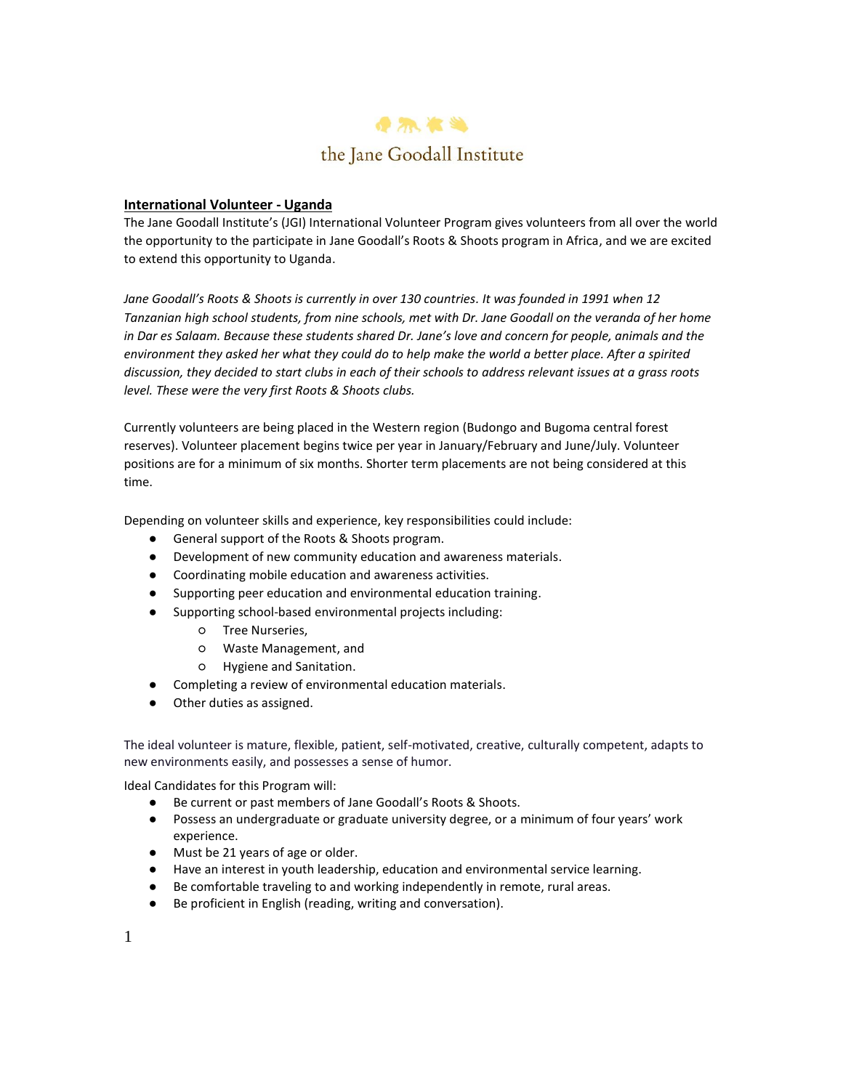

# **International Volunteer - Uganda**

The Jane Goodall Institute's (JGI) International Volunteer Program gives volunteers from all over the world the opportunity to the participate in Jane Goodall's Roots & Shoots program in Africa, and we are excited to extend this opportunity to Uganda.

*Jane Goodall's Roots & Shoots is currently in over 130 countries. It was founded in 1991 when 12 Tanzanian high school students, from nine schools, met with Dr. Jane Goodall on the veranda of her home in Dar es Salaam. Because these students shared Dr. Jane's love and concern for people, animals and the environment they asked her what they could do to help make the world a better place. After a spirited discussion, they decided to start clubs in each of their schools to address relevant issues at a grass roots level. These were the very first Roots & Shoots clubs.*

Currently volunteers are being placed in the Western region (Budongo and Bugoma central forest reserves). Volunteer placement begins twice per year in January/February and June/July. Volunteer positions are for a minimum of six months. Shorter term placements are not being considered at this time.

Depending on volunteer skills and experience, key responsibilities could include:

- General support of the Roots & Shoots program.
- Development of new community education and awareness materials.
- Coordinating mobile education and awareness activities.
- Supporting peer education and environmental education training.
- Supporting school-based environmental projects including:
	- Tree Nurseries,
		- Waste Management, and
		- Hygiene and Sanitation.
- Completing a review of environmental education materials.
- Other duties as assigned.

The ideal volunteer is mature, flexible, patient, self-motivated, creative, culturally competent, adapts to new environments easily, and possesses a sense of humor.

Ideal Candidates for this Program will:

- Be current or past members of Jane Goodall's Roots & Shoots.
- Possess an undergraduate or graduate university degree, or a minimum of four years' work experience.
- Must be 21 years of age or older.
- Have an interest in youth leadership, education and environmental service learning.
- Be comfortable traveling to and working independently in remote, rural areas.
- Be proficient in English (reading, writing and conversation).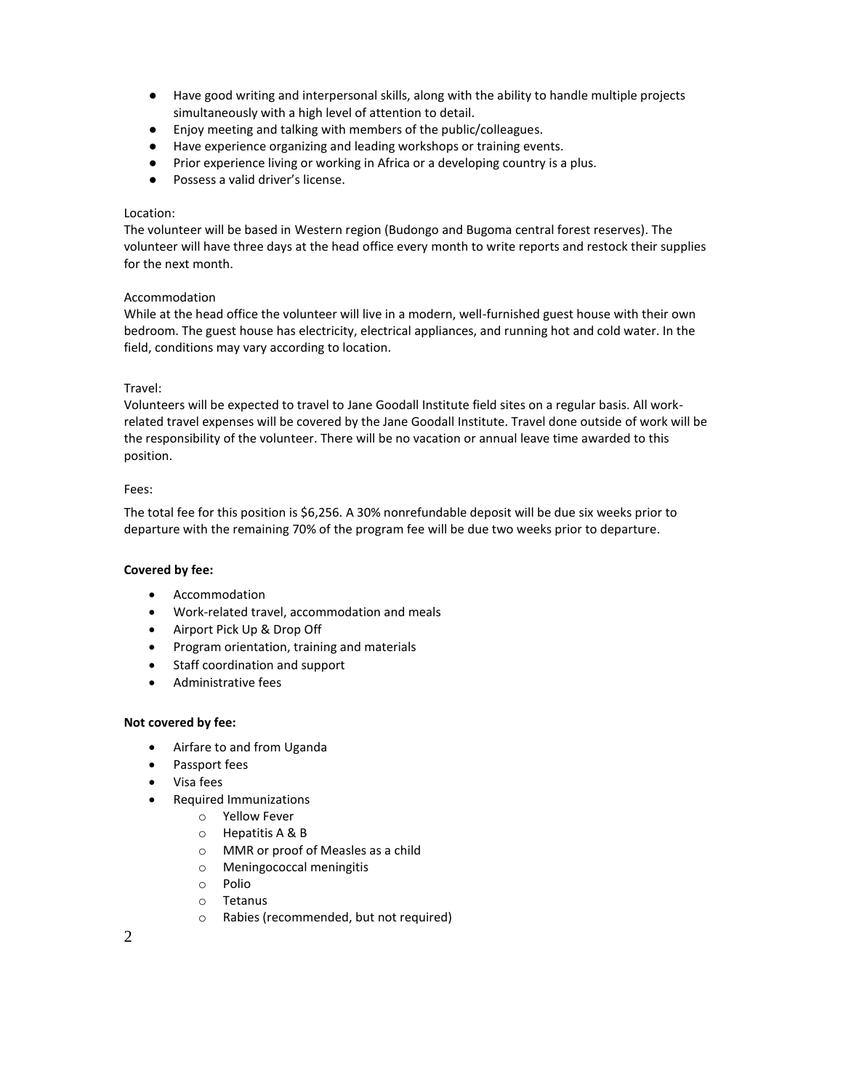- Have good writing and interpersonal skills, along with the ability to handle multiple projects simultaneously with a high level of attention to detail.
- Enjoy meeting and talking with members of the public/colleagues.
- Have experience organizing and leading workshops or training events.
- Prior experience living or working in Africa or a developing country is a plus.
- Possess a valid driver's license.

#### Location:

The volunteer will be based in Western region (Budongo and Bugoma central forest reserves). The volunteer will have three days at the head office every month to write reports and restock their supplies for the next month.

## Accommodation

While at the head office the volunteer will live in a modern, well-furnished guest house with their own bedroom. The guest house has electricity, electrical appliances, and running hot and cold water. In the field, conditions may vary according to location.

# Travel:

Volunteers will be expected to travel to Jane Goodall Institute field sites on a regular basis. All workrelated travel expenses will be covered by the Jane Goodall Institute. Travel done outside of work will be the responsibility of the volunteer. There will be no vacation or annual leave time awarded to this position.

## Fees:

The total fee for this position is \$6,256. A 30% nonrefundable deposit will be due six weeks prior to departure with the remaining 70% of the program fee will be due two weeks prior to departure.

#### **Covered by fee:**

- Accommodation
- Work-related travel, accommodation and meals
- Airport Pick Up & Drop Off
- Program orientation, training and materials
- Staff coordination and support
- Administrative fees

# **Not covered by fee:**

- Airfare to and from Uganda
- Passport fees
- Visa fees
- Required Immunizations
	- o Yellow Fever
	- o Hepatitis A & B
	- o MMR or proof of Measles as a child
	- o Meningococcal meningitis
	- o Polio
	- o Tetanus
	- o Rabies (recommended, but not required)